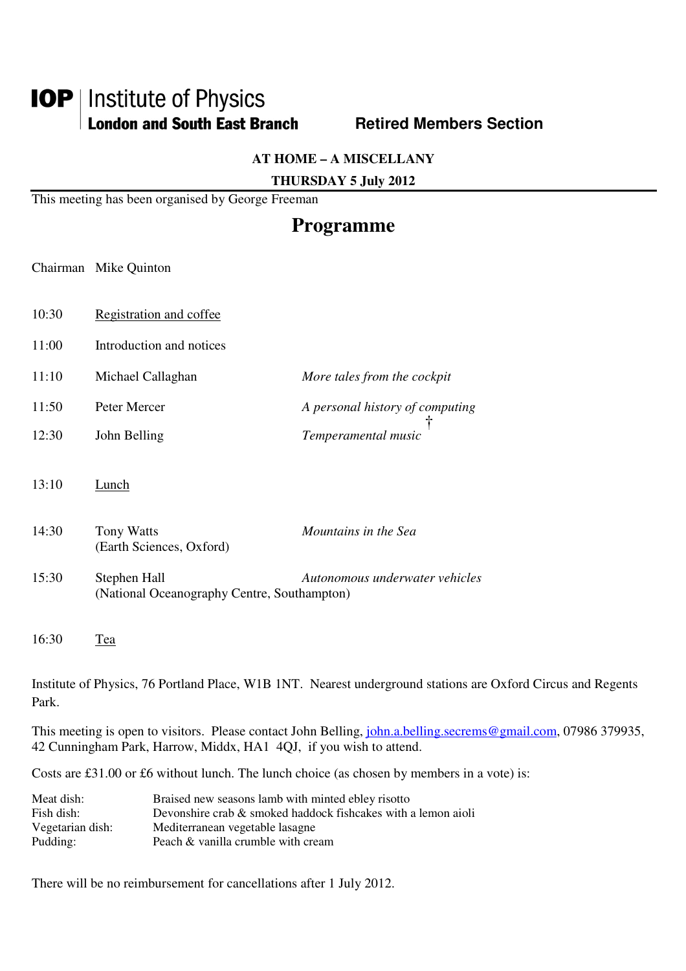# **IOP** | Institute of Physics **London and South East Branch Fig. 8. Retired Members Section**

**AT HOME – A MISCELLANY** 

**THURSDAY 5 July 2012** 

This meeting has been organised by George Freeman

# **Programme**

Chairman Mike Quinton

- 10:30 Registration and coffee
- 11:00 Introduction and notices
- 11:10 Michael Callaghan *More tales from the cockpit*
- 11:50 Peter Mercer *A personal history of computing*  12:30 John Belling *Temperamental music*  †
- 13:10 Lunch
- 14:30 Tony Watts *Mountains in the Sea*  (Earth Sciences, Oxford) 15:30 Stephen Hall *Autonomous underwater vehicles*

(National Oceanography Centre, Southampton)

16:30 Tea

Institute of Physics, 76 Portland Place, W1B 1NT. Nearest underground stations are Oxford Circus and Regents Park.

This meeting is open to visitors. Please contact John Belling, john.a.belling.secrems@gmail.com, 07986 379935, 42 Cunningham Park, Harrow, Middx, HA1 4QJ, if you wish to attend.

Costs are £31.00 or £6 without lunch. The lunch choice (as chosen by members in a vote) is:

| Meat dish:       | Braised new seasons lamb with minted ebley risotto            |
|------------------|---------------------------------------------------------------|
| Fish dish:       | Devonshire crab & smoked haddock fishcakes with a lemon aioli |
| Vegetarian dish: | Mediterranean vegetable lasagne                               |
| Pudding:         | Peach & vanilla crumble with cream                            |

There will be no reimbursement for cancellations after 1 July 2012.